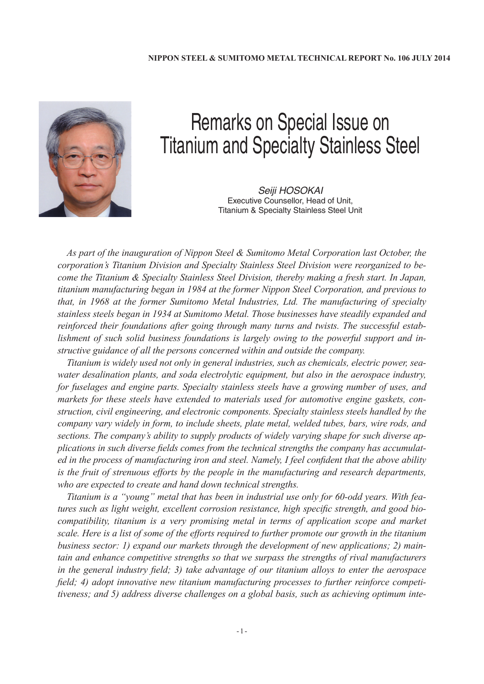

## Remarks on Special Issue on Titanium and Specialty Stainless Steel

Seiji HOSOKAI Executive Counsellor, Head of Unit, Titanium & Specialty Stainless Steel Unit

*As part of the inauguration of Nippon Steel & Sumitomo Metal Corporation last October, the corporation's Titanium Division and Specialty Stainless Steel Division were reorganized to become the Titanium & Specialty Stainless Steel Division, thereby making a fresh start. In Japan, titanium manufacturing began in 1984 at the former Nippon Steel Corporation, and previous to that, in 1968 at the former Sumitomo Metal Industries, Ltd. The manufacturing of specialty stainless steels began in 1934 at Sumitomo Metal. Those businesses have steadily expanded and reinforced their foundations after going through many turns and twists. The successful establishment of such solid business foundations is largely owing to the powerful support and instructive guidance of all the persons concerned within and outside the company.*

*Titanium is widely used not only in general industries, such as chemicals, electric power, seawater desalination plants, and soda electrolytic equipment, but also in the aerospace industry, for fuselages and engine parts. Specialty stainless steels have a growing number of uses, and markets for these steels have extended to materials used for automotive engine gaskets, construction, civil engineering, and electronic components. Specialty stainless steels handled by the company vary widely in form, to include sheets, plate metal, welded tubes, bars, wire rods, and sections. The company's ability to supply products of widely varying shape for such diverse applications in such diverse fields comes from the technical strengths the company has accumulated in the process of manufacturing iron and steel. Namely, I feel confident that the above ability is the fruit of strenuous efforts by the people in the manufacturing and research departments, who are expected to create and hand down technical strengths.*

*Titanium is a "young" metal that has been in industrial use only for 60-odd years. With features such as light weight, excellent corrosion resistance, high specific strength, and good biocompatibility, titanium is a very promising metal in terms of application scope and market scale. Here is a list of some of the efforts required to further promote our growth in the titanium business sector: 1) expand our markets through the development of new applications; 2) maintain and enhance competitive strengths so that we surpass the strengths of rival manufacturers in the general industry field; 3) take advantage of our titanium alloys to enter the aerospace field; 4) adopt innovative new titanium manufacturing processes to further reinforce competitiveness; and 5) address diverse challenges on a global basis, such as achieving optimum inte-*